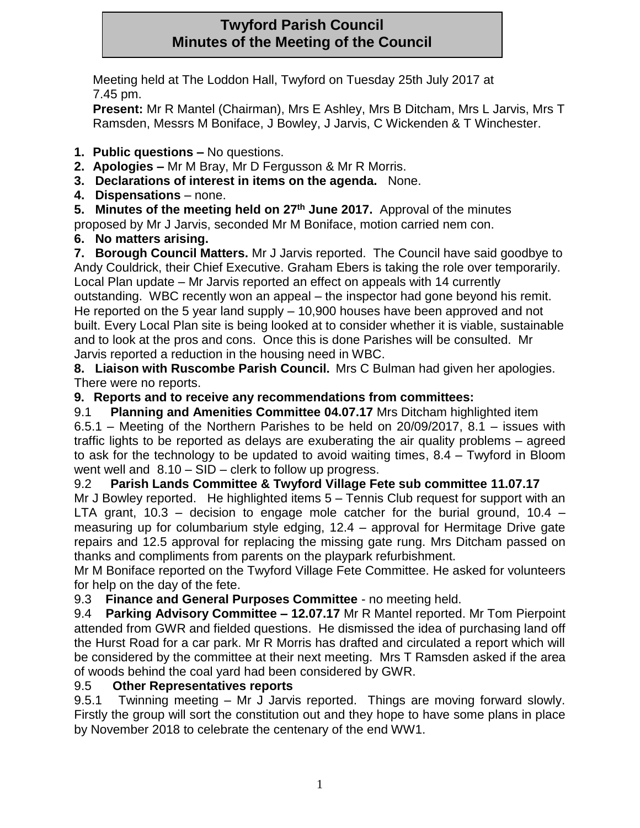# **Twyford Parish Council Minutes of the Meeting of the Council**

Meeting held at The Loddon Hall, Twyford on Tuesday 25th July 2017 at 7.45 pm.

**Present:** Mr R Mantel (Chairman), Mrs E Ashley, Mrs B Ditcham, Mrs L Jarvis, Mrs T Ramsden, Messrs M Boniface, J Bowley, J Jarvis, C Wickenden & T Winchester.

- **1. Public questions –** No questions.
- **2. Apologies –** Mr M Bray, Mr D Fergusson & Mr R Morris.
- **3. Declarations of interest in items on the agenda.** None.
- **4. Dispensations** none.

**5. Minutes of the meeting held on 27th June 2017.** Approval of the minutes proposed by Mr J Jarvis, seconded Mr M Boniface, motion carried nem con.

# **6. No matters arising.**

**7. Borough Council Matters.** Mr J Jarvis reported. The Council have said goodbye to Andy Couldrick, their Chief Executive. Graham Ebers is taking the role over temporarily. Local Plan update – Mr Jarvis reported an effect on appeals with 14 currently outstanding. WBC recently won an appeal – the inspector had gone beyond his remit. He reported on the 5 year land supply – 10,900 houses have been approved and not built. Every Local Plan site is being looked at to consider whether it is viable, sustainable and to look at the pros and cons. Once this is done Parishes will be consulted. Mr Jarvis reported a reduction in the housing need in WBC.

**8. Liaison with Ruscombe Parish Council.** Mrs C Bulman had given her apologies. There were no reports.

**9. Reports and to receive any recommendations from committees:**

9.1 **Planning and Amenities Committee 04.07.17** Mrs Ditcham highlighted item

6.5.1 – Meeting of the Northern Parishes to be held on 20/09/2017, 8.1 – issues with traffic lights to be reported as delays are exuberating the air quality problems – agreed to ask for the technology to be updated to avoid waiting times, 8.4 – Twyford in Bloom went well and  $8.10 - SID -$  clerk to follow up progress.

9.2 **Parish Lands Committee & Twyford Village Fete sub committee 11.07.17** 

Mr J Bowley reported. He highlighted items 5 – Tennis Club request for support with an LTA grant, 10.3 – decision to engage mole catcher for the burial ground, 10.4 – measuring up for columbarium style edging, 12.4 – approval for Hermitage Drive gate repairs and 12.5 approval for replacing the missing gate rung. Mrs Ditcham passed on thanks and compliments from parents on the playpark refurbishment.

Mr M Boniface reported on the Twyford Village Fete Committee. He asked for volunteers for help on the day of the fete.

9.3 **Finance and General Purposes Committee** - no meeting held.

9.4 **Parking Advisory Committee – 12.07.17** Mr R Mantel reported. Mr Tom Pierpoint attended from GWR and fielded questions. He dismissed the idea of purchasing land off the Hurst Road for a car park. Mr R Morris has drafted and circulated a report which will be considered by the committee at their next meeting. Mrs T Ramsden asked if the area of woods behind the coal yard had been considered by GWR.

# 9.5 **Other Representatives reports**

9.5.1 Twinning meeting – Mr J Jarvis reported. Things are moving forward slowly. Firstly the group will sort the constitution out and they hope to have some plans in place by November 2018 to celebrate the centenary of the end WW1.